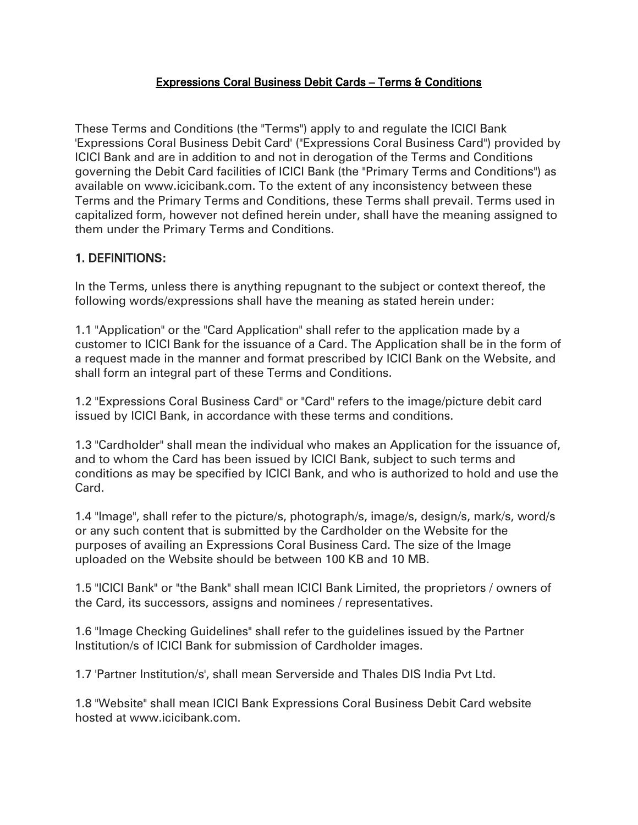#### Expressions Coral Business Debit Cards – Terms & Conditions

These Terms and Conditions (the "Terms") apply to and regulate the ICICI Bank 'Expressions Coral Business Debit Card' ("Expressions Coral Business Card") provided by ICICI Bank and are in addition to and not in derogation of the Terms and Conditions governing the Debit Card facilities of ICICI Bank (the "Primary Terms and Conditions") as available on www.icicibank.com. To the extent of any inconsistency between these Terms and the Primary Terms and Conditions, these Terms shall prevail. Terms used in capitalized form, however not defined herein under, shall have the meaning assigned to them under the Primary Terms and Conditions.

## 1. DEFINITIONS:

In the Terms, unless there is anything repugnant to the subject or context thereof, the following words/expressions shall have the meaning as stated herein under:

1.1 "Application" or the "Card Application" shall refer to the application made by a customer to ICICI Bank for the issuance of a Card. The Application shall be in the form of a request made in the manner and format prescribed by ICICI Bank on the Website, and shall form an integral part of these Terms and Conditions.

1.2 "Expressions Coral Business Card" or "Card" refers to the image/picture debit card issued by ICICI Bank, in accordance with these terms and conditions.

1.3 "Cardholder" shall mean the individual who makes an Application for the issuance of, and to whom the Card has been issued by ICICI Bank, subject to such terms and conditions as may be specified by ICICI Bank, and who is authorized to hold and use the Card.

1.4 "Image", shall refer to the picture/s, photograph/s, image/s, design/s, mark/s, word/s or any such content that is submitted by the Cardholder on the Website for the purposes of availing an Expressions Coral Business Card. The size of the Image uploaded on the Website should be between 100 KB and 10 MB.

1.5 "ICICI Bank" or "the Bank" shall mean ICICI Bank Limited, the proprietors / owners of the Card, its successors, assigns and nominees / representatives.

1.6 "Image Checking Guidelines" shall refer to the guidelines issued by the Partner Institution/s of ICICI Bank for submission of Cardholder images.

1.7 'Partner Institution/s', shall mean Serverside and Thales DIS India Pvt Ltd.

1.8 "Website" shall mean ICICI Bank Expressions Coral Business Debit Card website hosted at www.icicibank.com.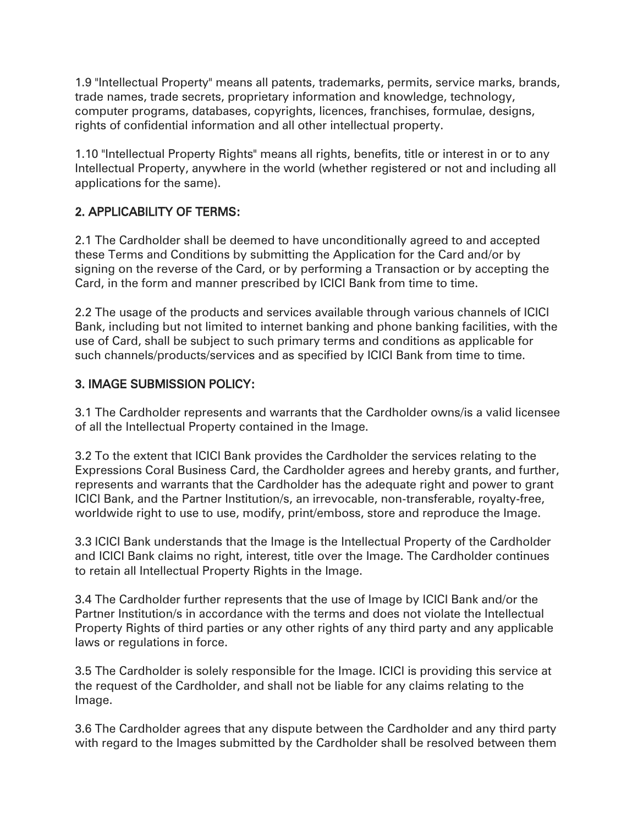1.9 "Intellectual Property" means all patents, trademarks, permits, service marks, brands, trade names, trade secrets, proprietary information and knowledge, technology, computer programs, databases, copyrights, licences, franchises, formulae, designs, rights of confidential information and all other intellectual property.

1.10 "Intellectual Property Rights" means all rights, benefits, title or interest in or to any Intellectual Property, anywhere in the world (whether registered or not and including all applications for the same).

## 2. APPLICABILITY OF TERMS:

2.1 The Cardholder shall be deemed to have unconditionally agreed to and accepted these Terms and Conditions by submitting the Application for the Card and/or by signing on the reverse of the Card, or by performing a Transaction or by accepting the Card, in the form and manner prescribed by ICICI Bank from time to time.

2.2 The usage of the products and services available through various channels of ICICI Bank, including but not limited to internet banking and phone banking facilities, with the use of Card, shall be subject to such primary terms and conditions as applicable for such channels/products/services and as specified by ICICI Bank from time to time.

### 3. IMAGE SUBMISSION POLICY:

3.1 The Cardholder represents and warrants that the Cardholder owns/is a valid licensee of all the Intellectual Property contained in the Image.

3.2 To the extent that ICICI Bank provides the Cardholder the services relating to the Expressions Coral Business Card, the Cardholder agrees and hereby grants, and further, represents and warrants that the Cardholder has the adequate right and power to grant ICICI Bank, and the Partner Institution/s, an irrevocable, non-transferable, royalty-free, worldwide right to use to use, modify, print/emboss, store and reproduce the Image.

3.3 ICICI Bank understands that the Image is the Intellectual Property of the Cardholder and ICICI Bank claims no right, interest, title over the Image. The Cardholder continues to retain all Intellectual Property Rights in the Image.

3.4 The Cardholder further represents that the use of Image by ICICI Bank and/or the Partner Institution/s in accordance with the terms and does not violate the Intellectual Property Rights of third parties or any other rights of any third party and any applicable laws or regulations in force.

3.5 The Cardholder is solely responsible for the Image. ICICI is providing this service at the request of the Cardholder, and shall not be liable for any claims relating to the Image.

3.6 The Cardholder agrees that any dispute between the Cardholder and any third party with regard to the Images submitted by the Cardholder shall be resolved between them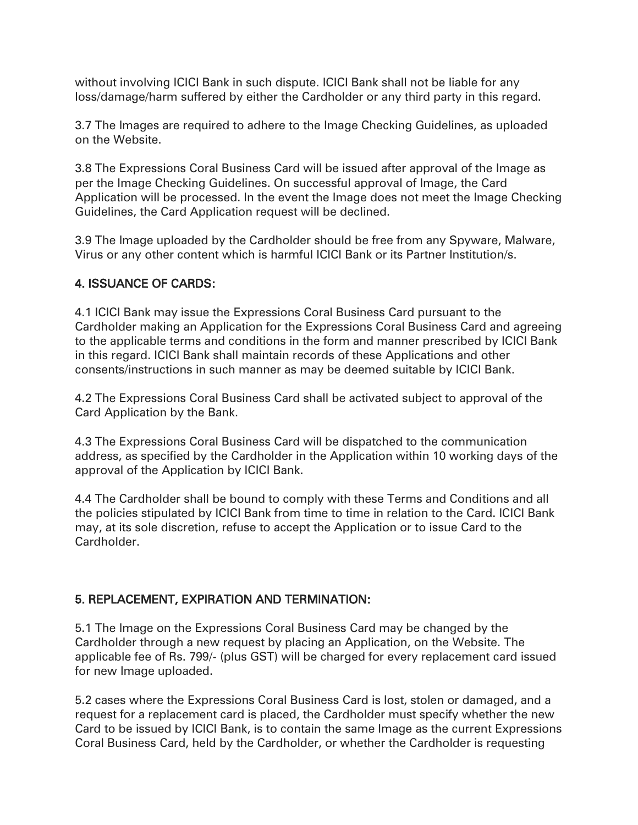without involving ICICI Bank in such dispute. ICICI Bank shall not be liable for any loss/damage/harm suffered by either the Cardholder or any third party in this regard.

3.7 The Images are required to adhere to the Image Checking Guidelines, as uploaded on the Website.

3.8 The Expressions Coral Business Card will be issued after approval of the Image as per the Image Checking Guidelines. On successful approval of Image, the Card Application will be processed. In the event the Image does not meet the Image Checking Guidelines, the Card Application request will be declined.

3.9 The Image uploaded by the Cardholder should be free from any Spyware, Malware, Virus or any other content which is harmful ICICI Bank or its Partner Institution/s.

### 4. ISSUANCE OF CARDS:

4.1 ICICI Bank may issue the Expressions Coral Business Card pursuant to the Cardholder making an Application for the Expressions Coral Business Card and agreeing to the applicable terms and conditions in the form and manner prescribed by ICICI Bank in this regard. ICICI Bank shall maintain records of these Applications and other consents/instructions in such manner as may be deemed suitable by ICICI Bank.

4.2 The Expressions Coral Business Card shall be activated subject to approval of the Card Application by the Bank.

4.3 The Expressions Coral Business Card will be dispatched to the communication address, as specified by the Cardholder in the Application within 10 working days of the approval of the Application by ICICI Bank.

4.4 The Cardholder shall be bound to comply with these Terms and Conditions and all the policies stipulated by ICICI Bank from time to time in relation to the Card. ICICI Bank may, at its sole discretion, refuse to accept the Application or to issue Card to the Cardholder.

### 5. REPLACEMENT, EXPIRATION AND TERMINATION:

5.1 The Image on the Expressions Coral Business Card may be changed by the Cardholder through a new request by placing an Application, on the Website. The applicable fee of Rs. 799/- (plus GST) will be charged for every replacement card issued for new Image uploaded.

5.2 cases where the Expressions Coral Business Card is lost, stolen or damaged, and a request for a replacement card is placed, the Cardholder must specify whether the new Card to be issued by ICICI Bank, is to contain the same Image as the current Expressions Coral Business Card, held by the Cardholder, or whether the Cardholder is requesting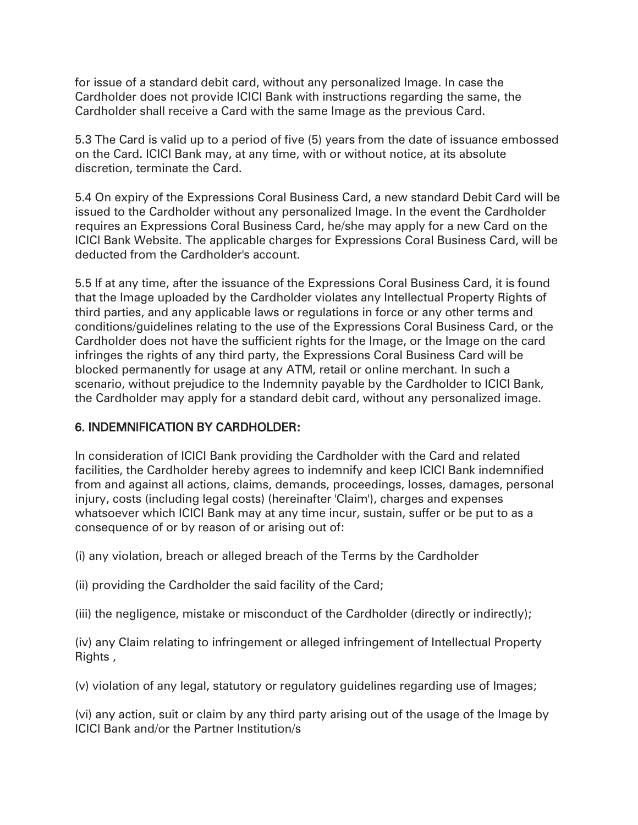for issue of a standard debit card, without any personalized Image. In case the Cardholder does not provide ICICI Bank with instructions regarding the same, the Cardholder shall receive a Card with the same Image as the previous Card.

5.3 The Card is valid up to a period of five (5) years from the date of issuance embossed on the Card. ICICI Bank may, at any time, with or without notice, at its absolute discretion, terminate the Card.

5.4 On expiry of the Expressions Coral Business Card, a new standard Debit Card will be issued to the Cardholder without any personalized Image. In the event the Cardholder requires an Expressions Coral Business Card, he/she may apply for a new Card on the ICICI Bank Website. The applicable charges for Expressions Coral Business Card, will be deducted from the Cardholder's account.

5.5 If at any time, after the issuance of the Expressions Coral Business Card, it is found that the Image uploaded by the Cardholder violates any Intellectual Property Rights of third parties, and any applicable laws or regulations in force or any other terms and conditions/guidelines relating to the use of the Expressions Coral Business Card, or the Cardholder does not have the sufficient rights for the Image, or the Image on the card infringes the rights of any third party, the Expressions Coral Business Card will be blocked permanently for usage at any ATM, retail or online merchant. In such a scenario, without prejudice to the Indemnity payable by the Cardholder to ICICI Bank, the Cardholder may apply for a standard debit card, without any personalized image.

### 6. INDEMNIFICATION BY CARDHOLDER:

In consideration of ICICI Bank providing the Cardholder with the Card and related facilities, the Cardholder hereby agrees to indemnify and keep ICICI Bank indemnified from and against all actions, claims, demands, proceedings, losses, damages, personal injury, costs (including legal costs) (hereinafter 'Claim'), charges and expenses whatsoever which ICICI Bank may at any time incur, sustain, suffer or be put to as a consequence of or by reason of or arising out of:

(i) any violation, breach or alleged breach of the Terms by the Cardholder

(ii) providing the Cardholder the said facility of the Card;

(iii) the negligence, mistake or misconduct of the Cardholder (directly or indirectly);

(iv) any Claim relating to infringement or alleged infringement of Intellectual Property Rights ,

(v) violation of any legal, statutory or regulatory guidelines regarding use of Images;

(vi) any action, suit or claim by any third party arising out of the usage of the Image by ICICI Bank and/or the Partner Institution/s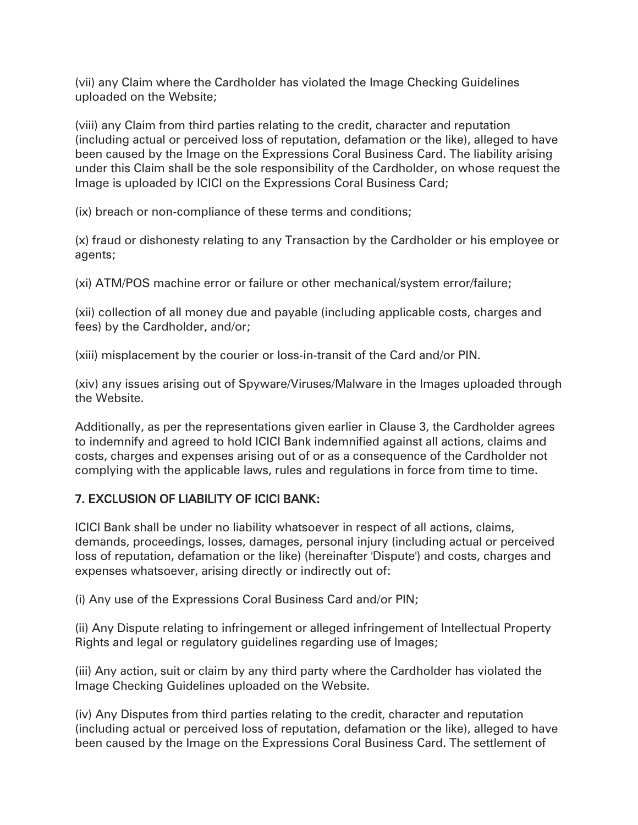(vii) any Claim where the Cardholder has violated the Image Checking Guidelines uploaded on the Website;

(viii) any Claim from third parties relating to the credit, character and reputation (including actual or perceived loss of reputation, defamation or the like), alleged to have been caused by the Image on the Expressions Coral Business Card. The liability arising under this Claim shall be the sole responsibility of the Cardholder, on whose request the Image is uploaded by ICICI on the Expressions Coral Business Card;

(ix) breach or non-compliance of these terms and conditions;

(x) fraud or dishonesty relating to any Transaction by the Cardholder or his employee or agents;

(xi) ATM/POS machine error or failure or other mechanical/system error/failure;

(xii) collection of all money due and payable (including applicable costs, charges and fees) by the Cardholder, and/or;

(xiii) misplacement by the courier or loss-in-transit of the Card and/or PIN.

(xiv) any issues arising out of Spyware/Viruses/Malware in the Images uploaded through the Website.

Additionally, as per the representations given earlier in Clause 3, the Cardholder agrees to indemnify and agreed to hold ICICI Bank indemnified against all actions, claims and costs, charges and expenses arising out of or as a consequence of the Cardholder not complying with the applicable laws, rules and regulations in force from time to time.

### 7. EXCLUSION OF LIABILITY OF ICICI BANK:

ICICI Bank shall be under no liability whatsoever in respect of all actions, claims, demands, proceedings, losses, damages, personal injury (including actual or perceived loss of reputation, defamation or the like) (hereinafter 'Dispute') and costs, charges and expenses whatsoever, arising directly or indirectly out of:

(i) Any use of the Expressions Coral Business Card and/or PIN;

(ii) Any Dispute relating to infringement or alleged infringement of Intellectual Property Rights and legal or regulatory guidelines regarding use of Images;

(iii) Any action, suit or claim by any third party where the Cardholder has violated the Image Checking Guidelines uploaded on the Website.

(iv) Any Disputes from third parties relating to the credit, character and reputation (including actual or perceived loss of reputation, defamation or the like), alleged to have been caused by the Image on the Expressions Coral Business Card. The settlement of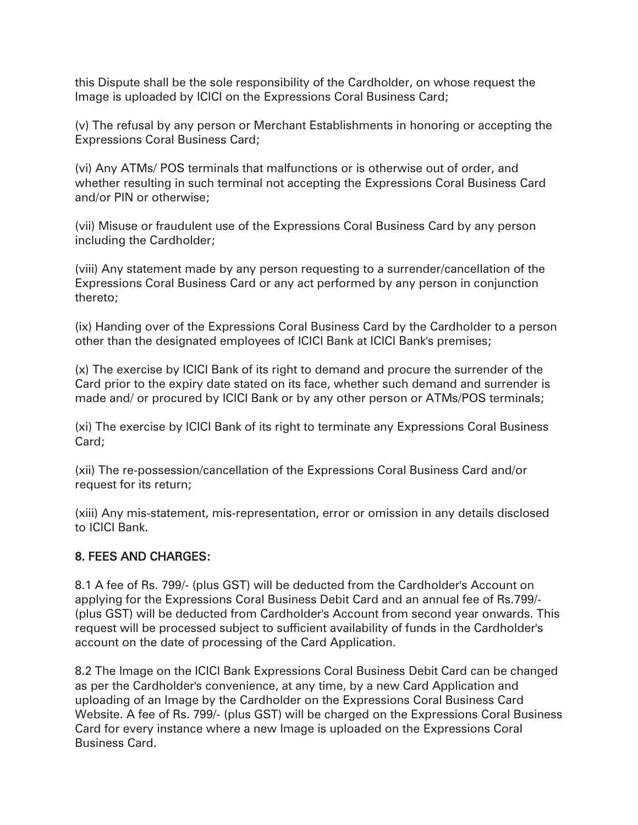this Dispute shall be the sole responsibility of the Cardholder, on whose request the Image is uploaded by ICICI on the Expressions Coral Business Card;

(v) The refusal by any person or Merchant Establishments in honoring or accepting the Expressions Coral Business Card;

(vi) Any ATMs/ POS terminals that malfunctions or is otherwise out of order, and whether resulting in such terminal not accepting the Expressions Coral Business Card and/or PIN or otherwise;

(vii) Misuse or fraudulent use of the Expressions Coral Business Card by any person including the Cardholder;

(viii) Any statement made by any person requesting to a surrender/cancellation of the Expressions Coral Business Card or any act performed by any person in conjunction thereto;

(ix) Handing over of the Expressions Coral Business Card by the Cardholder to a person other than the designated employees of ICICI Bank at ICICI Bank's premises;

(x) The exercise by ICICI Bank of its right to demand and procure the surrender of the Card prior to the expiry date stated on its face, whether such demand and surrender is made and/ or procured by ICICI Bank or by any other person or ATMs/POS terminals;

(xi) The exercise by ICICI Bank of its right to terminate any Expressions Coral Business Card;

(xii) The re-possession/cancellation of the Expressions Coral Business Card and/or request for its return;

(xiii) Any mis-statement, mis-representation, error or omission in any details disclosed to ICICI Bank.

### 8. FEES AND CHARGES:

8.1 A fee of Rs. 799/- (plus GST) will be deducted from the Cardholder's Account on applying for the Expressions Coral Business Debit Card and an annual fee of Rs.799/- (plus GST) will be deducted from Cardholder's Account from second year onwards. This request will be processed subject to sufficient availability of funds in the Cardholder's account on the date of processing of the Card Application.

8.2 The Image on the ICICI Bank Expressions Coral Business Debit Card can be changed as per the Cardholder's convenience, at any time, by a new Card Application and uploading of an Image by the Cardholder on the Expressions Coral Business Card Website. A fee of Rs. 799/- (plus GST) will be charged on the Expressions Coral Business Card for every instance where a new Image is uploaded on the Expressions Coral Business Card.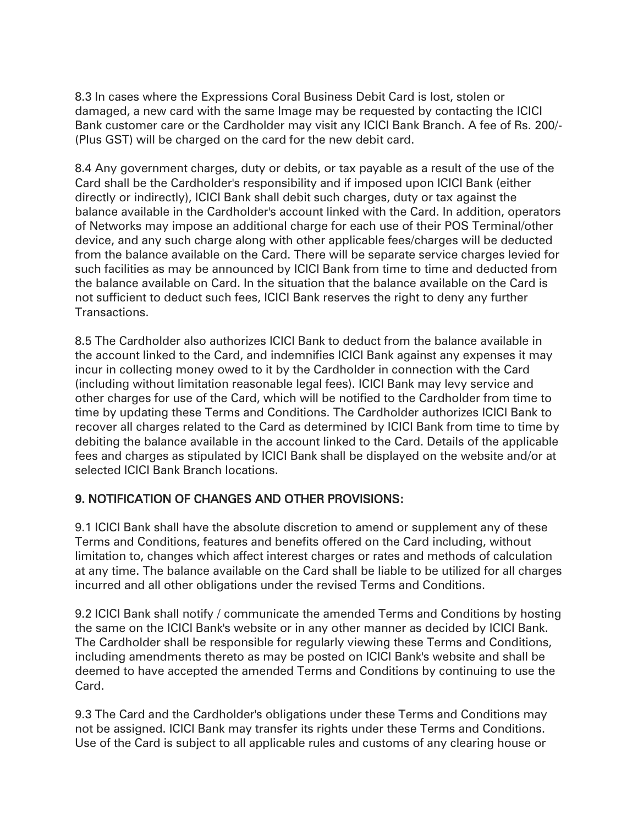8.3 In cases where the Expressions Coral Business Debit Card is lost, stolen or damaged, a new card with the same Image may be requested by contacting the ICICI Bank customer care or the Cardholder may visit any ICICI Bank Branch. A fee of Rs. 200/- (Plus GST) will be charged on the card for the new debit card.

8.4 Any government charges, duty or debits, or tax payable as a result of the use of the Card shall be the Cardholder's responsibility and if imposed upon ICICI Bank (either directly or indirectly), ICICI Bank shall debit such charges, duty or tax against the balance available in the Cardholder's account linked with the Card. In addition, operators of Networks may impose an additional charge for each use of their POS Terminal/other device, and any such charge along with other applicable fees/charges will be deducted from the balance available on the Card. There will be separate service charges levied for such facilities as may be announced by ICICI Bank from time to time and deducted from the balance available on Card. In the situation that the balance available on the Card is not sufficient to deduct such fees, ICICI Bank reserves the right to deny any further Transactions.

8.5 The Cardholder also authorizes ICICI Bank to deduct from the balance available in the account linked to the Card, and indemnifies ICICI Bank against any expenses it may incur in collecting money owed to it by the Cardholder in connection with the Card (including without limitation reasonable legal fees). ICICI Bank may levy service and other charges for use of the Card, which will be notified to the Cardholder from time to time by updating these Terms and Conditions. The Cardholder authorizes ICICI Bank to recover all charges related to the Card as determined by ICICI Bank from time to time by debiting the balance available in the account linked to the Card. Details of the applicable fees and charges as stipulated by ICICI Bank shall be displayed on the website and/or at selected ICICI Bank Branch locations.

# 9. NOTIFICATION OF CHANGES AND OTHER PROVISIONS:

9.1 ICICI Bank shall have the absolute discretion to amend or supplement any of these Terms and Conditions, features and benefits offered on the Card including, without limitation to, changes which affect interest charges or rates and methods of calculation at any time. The balance available on the Card shall be liable to be utilized for all charges incurred and all other obligations under the revised Terms and Conditions.

9.2 ICICI Bank shall notify / communicate the amended Terms and Conditions by hosting the same on the ICICI Bank's website or in any other manner as decided by ICICI Bank. The Cardholder shall be responsible for regularly viewing these Terms and Conditions, including amendments thereto as may be posted on ICICI Bank's website and shall be deemed to have accepted the amended Terms and Conditions by continuing to use the Card.

9.3 The Card and the Cardholder's obligations under these Terms and Conditions may not be assigned. ICICI Bank may transfer its rights under these Terms and Conditions. Use of the Card is subject to all applicable rules and customs of any clearing house or